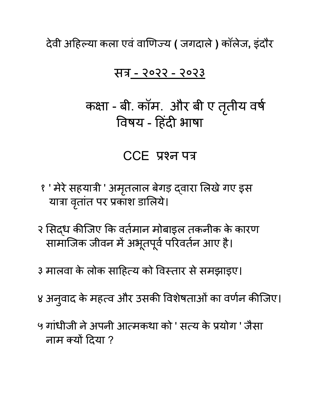देवी अहि ल्या कला एवंवाणि ज्य **(** जगदाले**)** कॉलेज**,** इंदौर

#### सत्र - २०२२ - २०२३

कक्षा - बी. कॉम. और बी ए तृतीय वर्ष विषय - हिंदी भाषा

#### CCE प्रश्न पत्र

- १ ' मेरे सहयात्री ' अमृतलाल बेगड़ द्वारा लिखे गए इस यात्रा वृतात पर प्रकाश डालिये।
- २ सिद्ध कीजिए कि वर्तमान मोबाइल तकनीक के कारण सामाजिक जीवन में अभूतपूर्व परिवर्तन आए हैं।
- ३ मालवा के लोक साहित्य को विस्तार से समझाइए।
- ४ अनुवाद के महत्व और उसकी विशेषताओं का वर्णन कीजिए।
- ५ गांधीजी ने अपनी आत्मकथा को ' सत्य के प्रयोग ' जैसा नाम क्यों दिया ?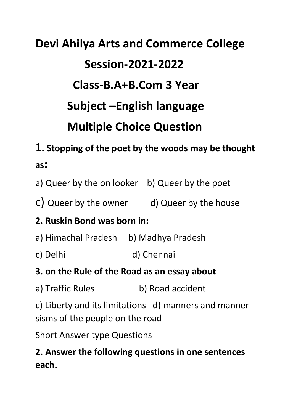# **Devi Ahilya Arts and Commerce College Session-2021-2022 Class-B.A+B.Com 3 Year Subject –English language Multiple Choice Question**

# 1**. Stopping of the poet by the woods may be thought as:**

a) Queer by the on looker b) Queer by the poet

c) Queer by the owner d) Queer by the house

#### **2. Ruskin Bond was born in:**

- a) Himachal Pradesh b) Madhya Pradesh
- c) Delhi d) Chennai
- **3. on the Rule of the Road as an essay about**-
- a) Traffic Rules b) Road accident

c) Liberty and its limitations d) manners and manner sisms of the people on the road

Short Answer type Questions

## **2. Answer the following questions in one sentences each.**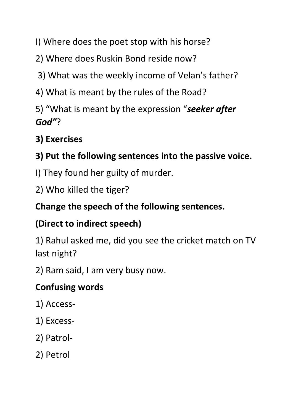- I) Where does the poet stop with his horse?
- 2) Where does Ruskin Bond reside now?
- 3) What was the weekly income of Velan's father?
- 4) What is meant by the rules of the Road?
- 5) "What is meant by the expression "*seeker after God"*?

## **3) Exercises**

## **3) Put the following sentences into the passive voice.**

- I) They found her guilty of murder.
- 2) Who killed the tiger?

#### **Change the speech of the following sentences.**

#### **(Direct to indirect speech)**

1) Rahul asked me, did you see the cricket match on TV last night?

2) Ram said, I am very busy now.

#### **Confusing words**

- 1) Access-
- 1) Excess-
- 2) Patrol-
- 2) Petrol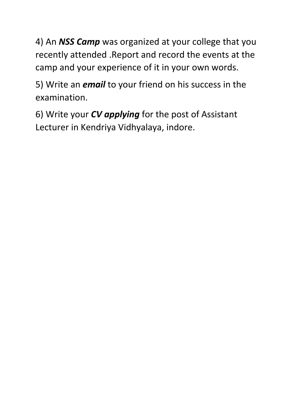4) An *NSS Camp* was organized at your college that you recently attended .Report and record the events at the camp and your experience of it in your own words.

5) Write an *email* to your friend on his success in the examination.

6) Write your *CV applying* for the post of Assistant Lecturer in Kendriya Vidhyalaya, indore.